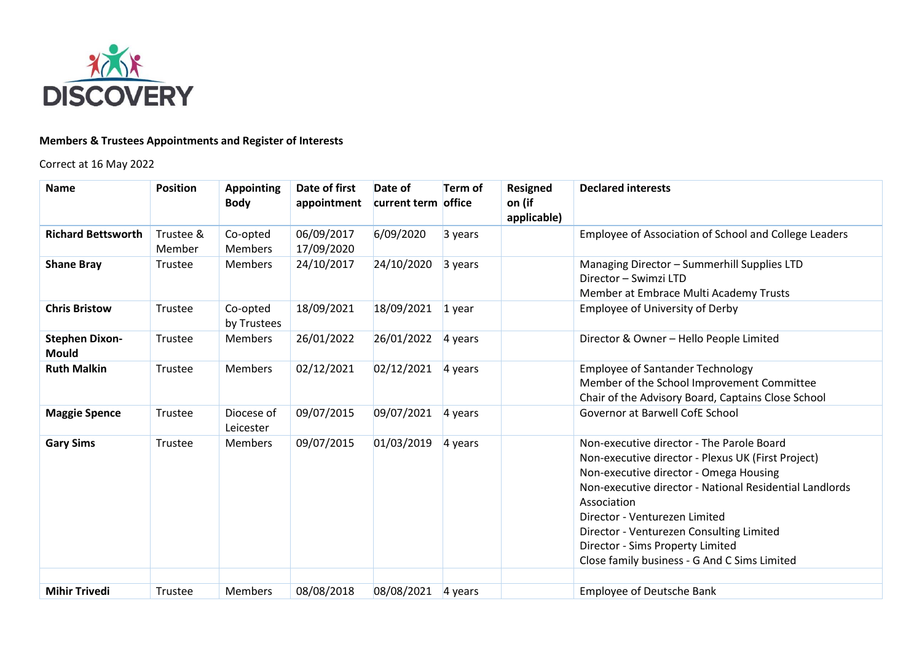

## **Members & Trustees Appointments and Register of Interests**

Correct at 16 May 2022

| <b>Name</b>                           | <b>Position</b>     | <b>Appointing</b><br><b>Body</b> | Date of first<br>appointment | Date of<br>current term office | <b>Term of</b> | Resigned<br>on (if<br>applicable) | <b>Declared interests</b>                                                                                                                                                                                                                                                                                                                                                            |
|---------------------------------------|---------------------|----------------------------------|------------------------------|--------------------------------|----------------|-----------------------------------|--------------------------------------------------------------------------------------------------------------------------------------------------------------------------------------------------------------------------------------------------------------------------------------------------------------------------------------------------------------------------------------|
| <b>Richard Bettsworth</b>             | Trustee &<br>Member | Co-opted<br><b>Members</b>       | 06/09/2017<br>17/09/2020     | 6/09/2020                      | 3 years        |                                   | Employee of Association of School and College Leaders                                                                                                                                                                                                                                                                                                                                |
| <b>Shane Bray</b>                     | Trustee             | <b>Members</b>                   | 24/10/2017                   | 24/10/2020                     | 3 years        |                                   | Managing Director - Summerhill Supplies LTD<br>Director - Swimzi LTD<br>Member at Embrace Multi Academy Trusts                                                                                                                                                                                                                                                                       |
| <b>Chris Bristow</b>                  | Trustee             | Co-opted<br>by Trustees          | 18/09/2021                   | 18/09/2021                     | $1$ year       |                                   | <b>Employee of University of Derby</b>                                                                                                                                                                                                                                                                                                                                               |
| <b>Stephen Dixon-</b><br><b>Mould</b> | Trustee             | <b>Members</b>                   | 26/01/2022                   | 26/01/2022                     | 4 years        |                                   | Director & Owner - Hello People Limited                                                                                                                                                                                                                                                                                                                                              |
| <b>Ruth Malkin</b>                    | Trustee             | <b>Members</b>                   | 02/12/2021                   | 02/12/2021                     | 4 years        |                                   | <b>Employee of Santander Technology</b><br>Member of the School Improvement Committee<br>Chair of the Advisory Board, Captains Close School                                                                                                                                                                                                                                          |
| <b>Maggie Spence</b>                  | Trustee             | Diocese of<br>Leicester          | 09/07/2015                   | 09/07/2021                     | 4 years        |                                   | <b>Governor at Barwell CofE School</b>                                                                                                                                                                                                                                                                                                                                               |
| <b>Gary Sims</b>                      | Trustee             | <b>Members</b>                   | 09/07/2015                   | 01/03/2019                     | 4 years        |                                   | Non-executive director - The Parole Board<br>Non-executive director - Plexus UK (First Project)<br>Non-executive director - Omega Housing<br>Non-executive director - National Residential Landlords<br>Association<br>Director - Venturezen Limited<br>Director - Venturezen Consulting Limited<br>Director - Sims Property Limited<br>Close family business - G And C Sims Limited |
| <b>Mihir Trivedi</b>                  | Trustee             | <b>Members</b>                   | 08/08/2018                   | 08/08/2021                     | 4 years        |                                   | <b>Employee of Deutsche Bank</b>                                                                                                                                                                                                                                                                                                                                                     |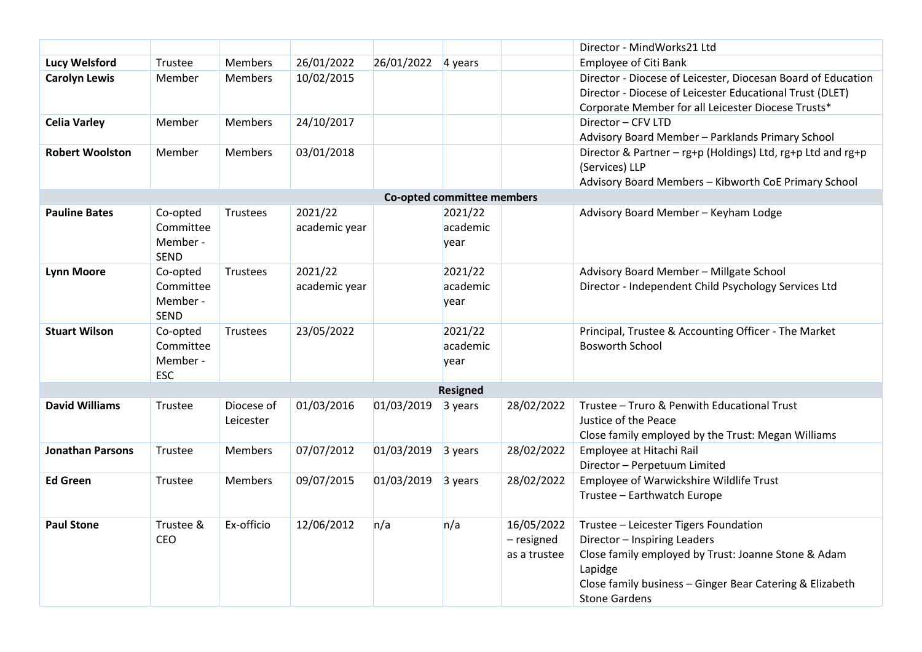|                            |                                                  |                         |                          |            |                             |                                          | Director - MindWorks21 Ltd                                                                                                                                                                                                  |  |  |  |  |  |
|----------------------------|--------------------------------------------------|-------------------------|--------------------------|------------|-----------------------------|------------------------------------------|-----------------------------------------------------------------------------------------------------------------------------------------------------------------------------------------------------------------------------|--|--|--|--|--|
| <b>Lucy Welsford</b>       | Trustee                                          | <b>Members</b>          | 26/01/2022               | 26/01/2022 | 4 years                     |                                          | <b>Employee of Citi Bank</b>                                                                                                                                                                                                |  |  |  |  |  |
| <b>Carolyn Lewis</b>       | Member                                           | <b>Members</b>          | 10/02/2015               |            |                             |                                          | Director - Diocese of Leicester, Diocesan Board of Education<br>Director - Diocese of Leicester Educational Trust (DLET)<br>Corporate Member for all Leicester Diocese Trusts*                                              |  |  |  |  |  |
| <b>Celia Varley</b>        | Member                                           | <b>Members</b>          | 24/10/2017               |            |                             |                                          | Director - CFV LTD<br>Advisory Board Member - Parklands Primary School                                                                                                                                                      |  |  |  |  |  |
| <b>Robert Woolston</b>     | Member                                           | <b>Members</b>          | 03/01/2018               |            |                             |                                          | Director & Partner - rg+p (Holdings) Ltd, rg+p Ltd and rg+p<br>(Services) LLP<br>Advisory Board Members - Kibworth CoE Primary School                                                                                       |  |  |  |  |  |
| Co-opted committee members |                                                  |                         |                          |            |                             |                                          |                                                                                                                                                                                                                             |  |  |  |  |  |
| <b>Pauline Bates</b>       | Co-opted<br>Committee<br>Member -<br><b>SEND</b> | <b>Trustees</b>         | 2021/22<br>academic year |            | 2021/22<br>academic<br>year |                                          | Advisory Board Member - Keyham Lodge                                                                                                                                                                                        |  |  |  |  |  |
| <b>Lynn Moore</b>          | Co-opted<br>Committee<br>Member -<br>SEND        | <b>Trustees</b>         | 2021/22<br>academic year |            | 2021/22<br>academic<br>year |                                          | Advisory Board Member - Millgate School<br>Director - Independent Child Psychology Services Ltd                                                                                                                             |  |  |  |  |  |
| <b>Stuart Wilson</b>       | Co-opted<br>Committee<br>Member -<br><b>ESC</b>  | <b>Trustees</b>         | 23/05/2022               |            | 2021/22<br>academic<br>year |                                          | Principal, Trustee & Accounting Officer - The Market<br><b>Bosworth School</b>                                                                                                                                              |  |  |  |  |  |
|                            |                                                  |                         |                          |            | <b>Resigned</b>             |                                          |                                                                                                                                                                                                                             |  |  |  |  |  |
| <b>David Williams</b>      | Trustee                                          | Diocese of<br>Leicester | 01/03/2016               | 01/03/2019 | 3 years                     | 28/02/2022                               | Trustee - Truro & Penwith Educational Trust<br>Justice of the Peace<br>Close family employed by the Trust: Megan Williams                                                                                                   |  |  |  |  |  |
| <b>Jonathan Parsons</b>    | Trustee                                          | <b>Members</b>          | 07/07/2012               | 01/03/2019 | 3 years                     | 28/02/2022                               | Employee at Hitachi Rail<br>Director - Perpetuum Limited                                                                                                                                                                    |  |  |  |  |  |
| <b>Ed Green</b>            | Trustee                                          | <b>Members</b>          | 09/07/2015               | 01/03/2019 | 3 years                     | 28/02/2022                               | Employee of Warwickshire Wildlife Trust<br>Trustee - Earthwatch Europe                                                                                                                                                      |  |  |  |  |  |
| <b>Paul Stone</b>          | Trustee &<br><b>CEO</b>                          | Ex-officio              | 12/06/2012               | n/a        | n/a                         | 16/05/2022<br>- resigned<br>as a trustee | Trustee - Leicester Tigers Foundation<br>Director - Inspiring Leaders<br>Close family employed by Trust: Joanne Stone & Adam<br>Lapidge<br>Close family business - Ginger Bear Catering & Elizabeth<br><b>Stone Gardens</b> |  |  |  |  |  |